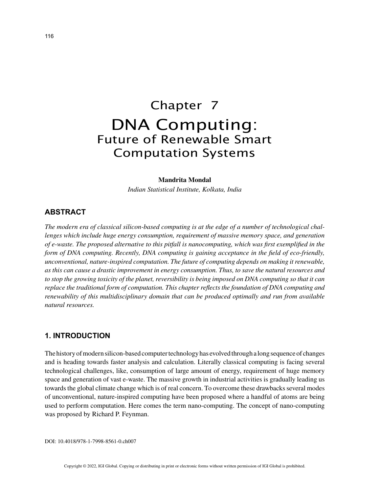# Chapter 7 DNA Computing: Future of Renewable Smart Computation Systems

#### **Mandrita Mondal**

*Indian Statistical Institute, Kolkata, India*

## **ABSTRACT**

*The modern era of classical silicon-based computing is at the edge of a number of technological challenges which include huge energy consumption, requirement of massive memory space, and generation of e-waste. The proposed alternative to this pitfall is nanocomputing, which was first exemplified in the form of DNA computing. Recently, DNA computing is gaining acceptance in the field of eco-friendly, unconventional, nature-inspired computation. The future of computing depends on making it renewable, as this can cause a drastic improvement in energy consumption. Thus, to save the natural resources and to stop the growing toxicity of the planet, reversibility is being imposed on DNA computing so that it can replace the traditional form of computation. This chapter reflects the foundation of DNA computing and renewability of this multidisciplinary domain that can be produced optimally and run from available natural resources.*

## **1. INTRODUCTION**

The history of modern silicon-based computer technology has evolved through a long sequence of changes and is heading towards faster analysis and calculation. Literally classical computing is facing several technological challenges, like, consumption of large amount of energy, requirement of huge memory space and generation of vast e-waste. The massive growth in industrial activities is gradually leading us towards the global climate change which is of real concern. To overcome these drawbacks several modes of unconventional, nature-inspired computing have been proposed where a handful of atoms are being used to perform computation. Here comes the term nano-computing. The concept of nano-computing was proposed by Richard P. Feynman.

DOI: 10.4018/978-1-7998-8561-0.ch007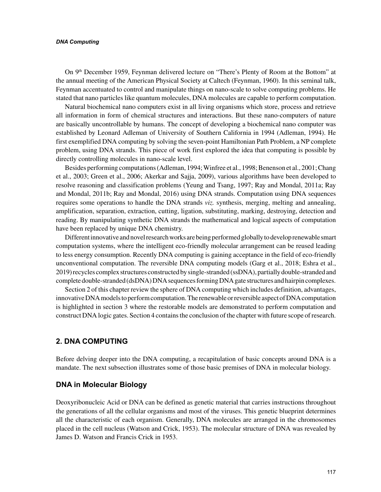#### *DNA Computing*

On 9<sup>th</sup> December 1959, Feynman delivered lecture on "There's Plenty of Room at the Bottom" at the annual meeting of the American Physical Society at Caltech (Feynman, 1960). In this seminal talk, Feynman accentuated to control and manipulate things on nano-scale to solve computing problems. He stated that nano particles like quantum molecules, DNA molecules are capable to perform computation.

Natural biochemical nano computers exist in all living organisms which store, process and retrieve all information in form of chemical structures and interactions. But these nano-computers of nature are basically uncontrollable by humans. The concept of developing a biochemical nano computer was established by Leonard Adleman of University of Southern California in 1994 (Adleman, 1994). He first exemplified DNA computing by solving the seven-point Hamiltonian Path Problem, a NP complete problem, using DNA strands. This piece of work first explored the idea that computing is possible by directly controlling molecules in nano-scale level.

Besides performing computations (Adleman, 1994; Winfree et al., 1998; Benenson et al., 2001; Chang et al., 2003; Green et al., 2006; Akerkar and Sajja, 2009), various algorithms have been developed to resolve reasoning and classification problems (Yeung and Tsang, 1997; Ray and Mondal, 2011a; Ray and Mondal, 2011b; Ray and Mondal, 2016) using DNA strands. Computation using DNA sequences requires some operations to handle the DNA strands *viz.* synthesis, merging, melting and annealing, amplification, separation, extraction, cutting, ligation, substituting, marking, destroying, detection and reading. By manipulating synthetic DNA strands the mathematical and logical aspects of computation have been replaced by unique DNA chemistry.

Different innovative and novel research works are being performed globally to develop renewable smart computation systems, where the intelligent eco-friendly molecular arrangement can be reused leading to less energy consumption. Recently DNA computing is gaining acceptance in the field of eco-friendly unconventional computation. The reversible DNA computing models (Garg et al., 2018; Eshra et al., 2019) recycles complex structures constructed by single-stranded (ssDNA), partially double-stranded and complete double-stranded (dsDNA) DNA sequences forming DNA gate structures and hairpin complexes.

Section 2 of this chapter review the sphere of DNA computing which includes definition, advantages, innovative DNA models to perform computation. The renewable or reversible aspect of DNA computation is highlighted in section 3 where the restorable models are demonstrated to perform computation and construct DNA logic gates. Section 4 contains the conclusion of the chapter with future scope of research.

## **2. DNA COMPUTING**

Before delving deeper into the DNA computing, a recapitulation of basic concepts around DNA is a mandate. The next subsection illustrates some of those basic premises of DNA in molecular biology.

## **DNA in Molecular Biology**

Deoxyribonucleic Acid or DNA can be defined as genetic material that carries instructions throughout the generations of all the cellular organisms and most of the viruses. This genetic blueprint determines all the characteristic of each organism. Generally, DNA molecules are arranged in the chromosomes placed in the cell nucleus (Watson and Crick, 1953). The molecular structure of DNA was revealed by James D. Watson and Francis Crick in 1953.